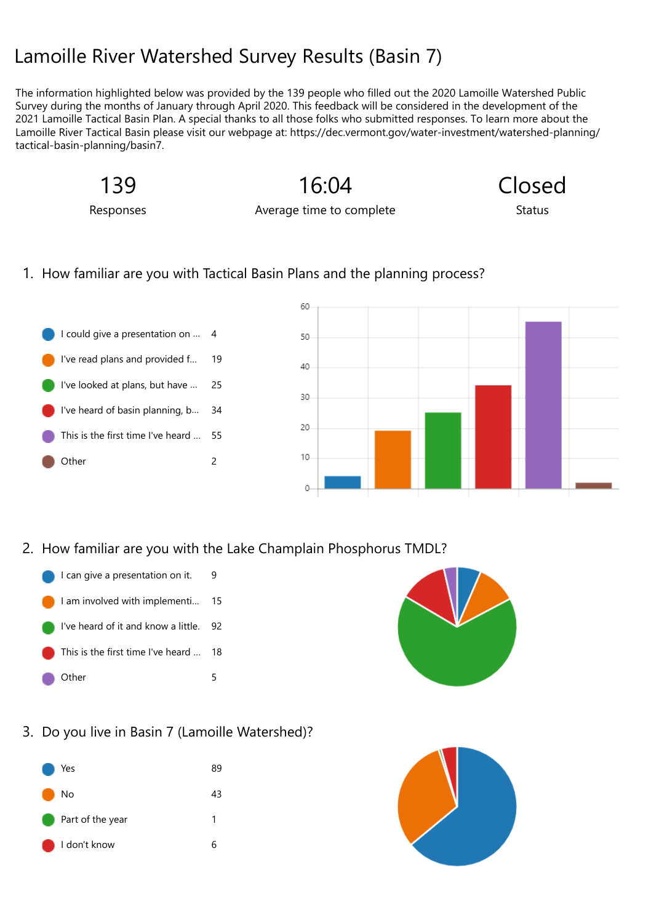# Lam[oille R](javascript: FormsOnHeaderAppNameClick())iver Watershed Survey Results (Basin 7)

The information highlighted below was provided by the 139 people who filled out the 2020 Lamoille Watershed Public Survey during the months of January through April 2020. This feedback will be considered in the development of the 2021 Lamoille Tactical Basin Plan. A special thanks to all those folks who submitted responses. To learn more about the Lamoille River Tactical Basin please visit our webpage at: https://dec.vermont.gov/water-investment/watershed-planning/ tactical-basin-planning/basin7.

139

Responses

Average time to complete

16:04

Closed

**Status** 

### 1. How familiar are you with Tactical Basin Plans and the planning process?

I could give a presentation on … 4 I've read plans and provided f… 19 I've looked at plans, but have … 25 I've heard of basin planning, b… 34 This is the first time I've heard … 55 Other 2



2. How familiar are you with the Lake Champlain Phosphorus TMDL?



- I am involved with implementi… 15
- I've heard of it and know a little. 92
- This is the first time I've heard … 18
- Other 5



3. Do you live in Basin 7 (Lamoille Watershed)?

|                          | Yes              | 89 |
|--------------------------|------------------|----|
|                          | No               | 43 |
| <b>Contract Contract</b> | Part of the year | 1  |
|                          | I don't know     | h  |

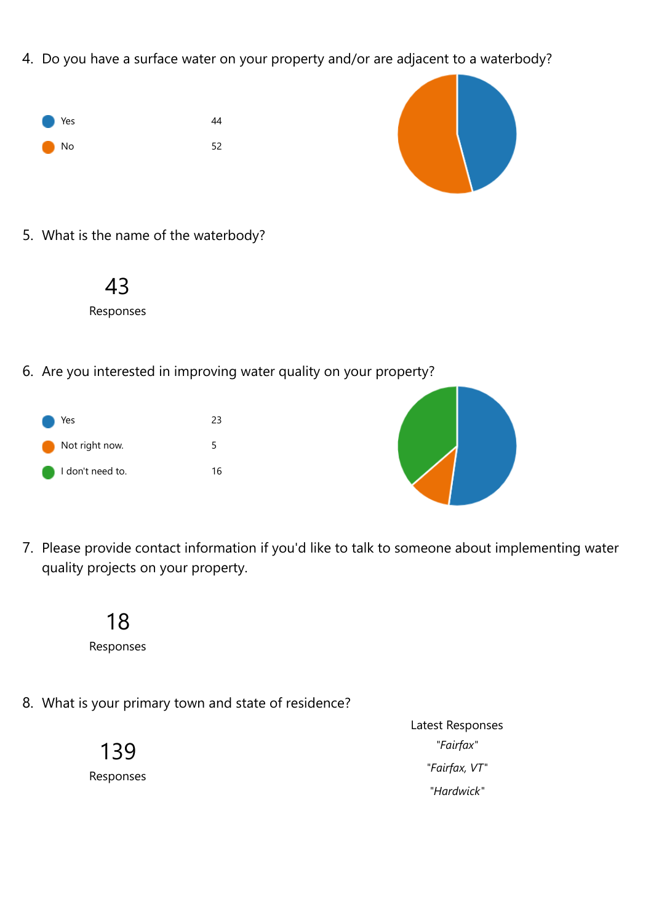4. Do you have a surface water on your property and/or are adjacent to a waterbody?





5. What is the name of the waterbody?



6. Are you interested in improving water quality on your property?





7. Please provide contact information if you'd like to talk to someone about implementing water quality projects on your property.



8. What is your primary town and state of residence?

139 Responses Latest Responses *"Fairfax" "Fairfax, VT" "Hardwick"*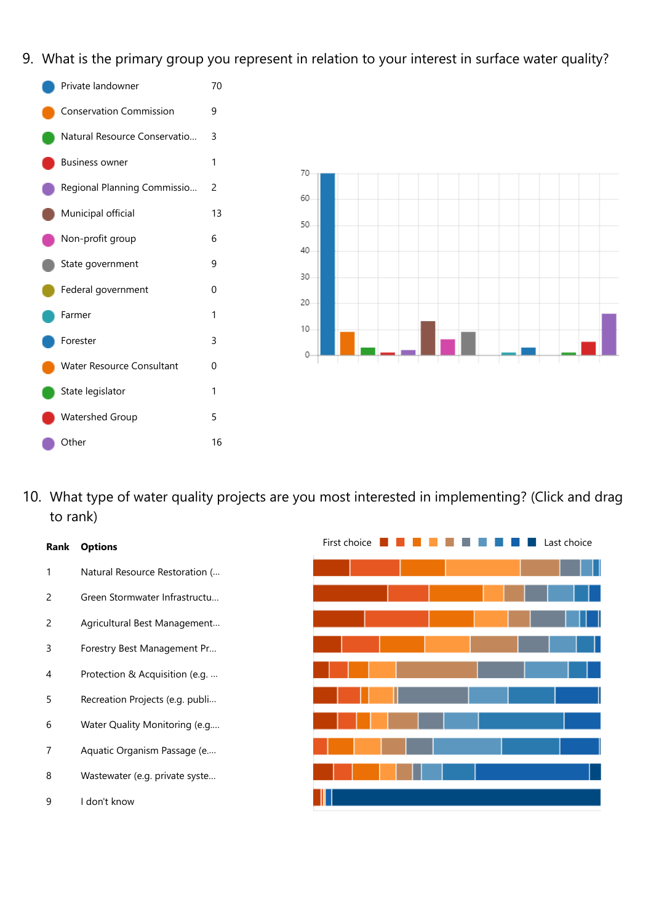9. What is the primary group you represent in relation to your interest in surface water quality?





10. What type of water quality projects are you most interested in implementing? (Click and drag to rank)

## **Rank Options** 1 Natural Resource Restoration (… 2 Green Stormwater Infrastructu… 2 Agricultural Best Management… 3 Forestry Best Management Pr… 4 Protection & Acquisition (e.g. … 5 Recreation Projects (e.g. publi… 6 Water Quality Monitoring (e.g.… 7 Aquatic Organism Passage (e.… 8 Wastewater (e.g. private syste… 9 I don't know

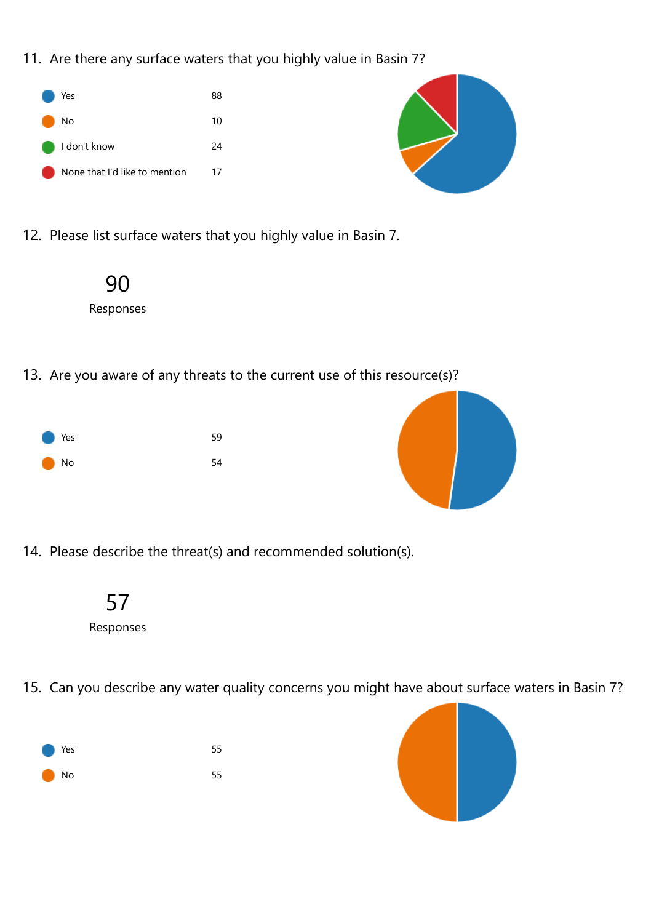11. Are there any surface waters that you highly value in Basin 7?



12. Please list surface waters that you highly value in Basin 7.



13. Are you aware of any threats to the current use of this resource(s)?





14. Please describe the threat(s) and recommended solution(s).



- Responses
- 15. Can you describe any water quality concerns you might have about surface waters in Basin 7?



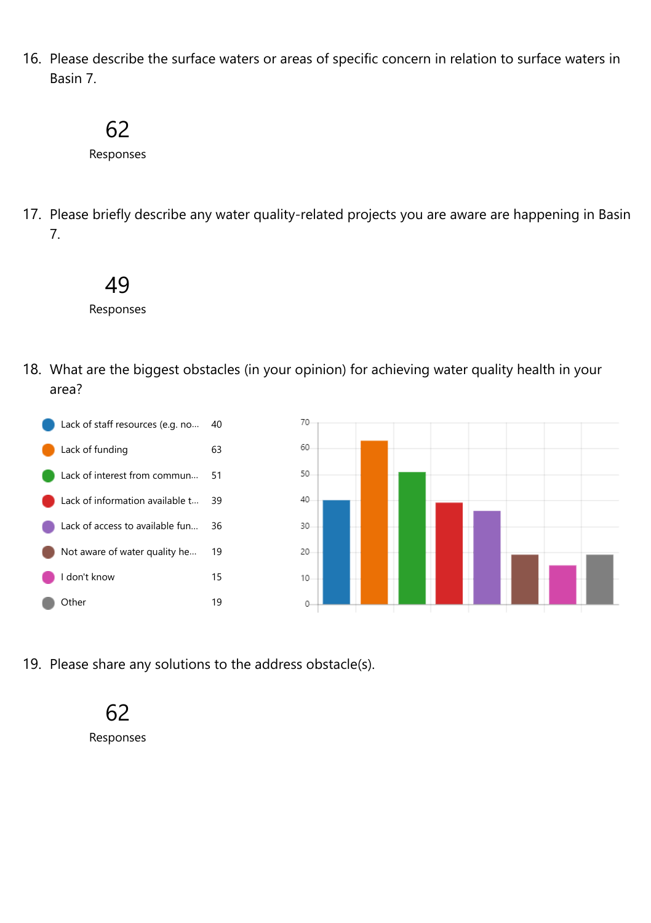16. Please describe the surface waters or areas of specific concern in relation to surface waters in Basin 7.

## 62

Responses

17. Please briefly describe any water quality-related projects you are aware are happening in Basin 7.



Responses

18. What are the biggest obstacles (in your opinion) for achieving water quality health in your area?



19. Please share any solutions to the address obstacle(s).

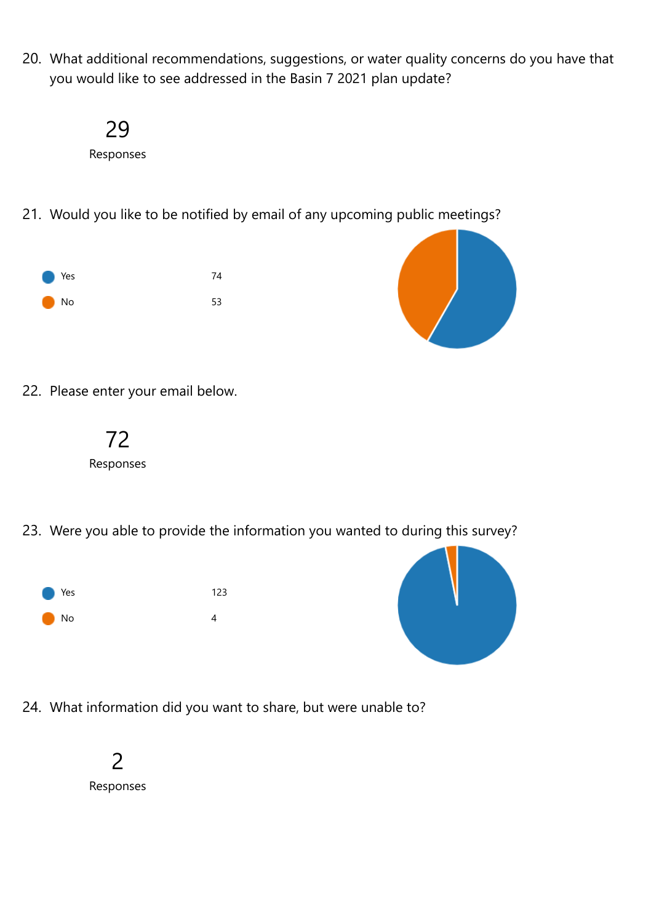20. What additional recommendations, suggestions, or water quality concerns do you have that you would like to see addressed in the Basin 7 2021 plan update?



21. Would you like to be notified by email of any upcoming public meetings?





22. Please enter your email below.



23. Were you able to provide the information you wanted to during this survey?





24. What information did you want to share, but were unable to?

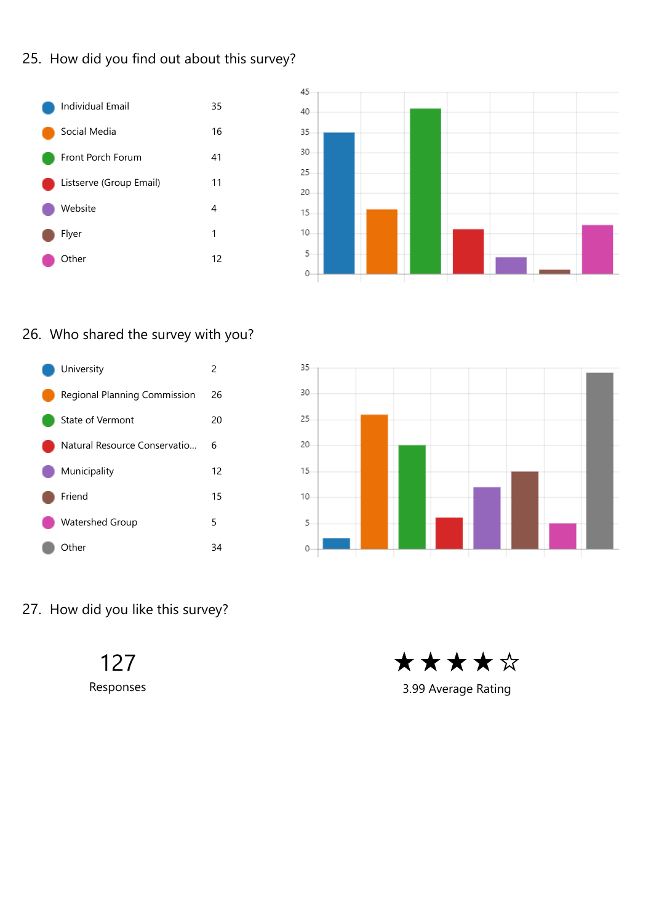### 25. How did you find out about this survey?





### 26. Who shared the survey with you?





27. How did you like this survey?

127

Responses



3.99 Average Rating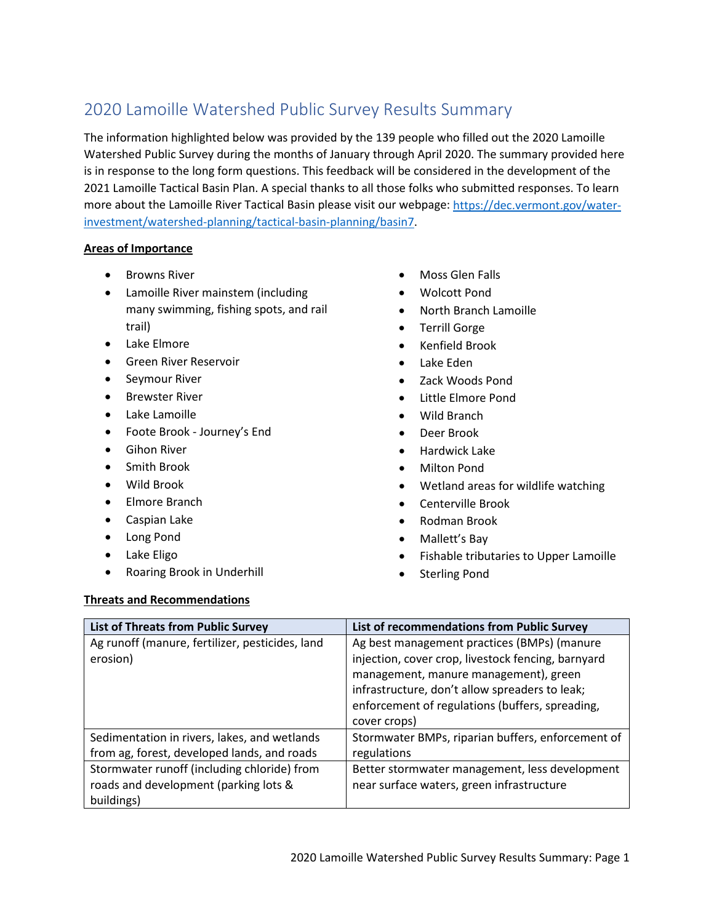## 2020 Lamoille Watershed Public Survey Results Summary

The information highlighted below was provided by the 139 people who filled out the 2020 Lamoille Watershed Public Survey during the months of January through April 2020. The summary provided here is in response to the long form questions. This feedback will be considered in the development of the 2021 Lamoille Tactical Basin Plan. A special thanks to all those folks who submitted responses. To learn more about the Lamoille River Tactical Basin please visit our webpage[: https://dec.vermont.gov/water](https://dec.vermont.gov/water-investment/watershed-planning/tactical-basin-planning/basin7)[investment/watershed-planning/tactical-basin-planning/basin7.](https://dec.vermont.gov/water-investment/watershed-planning/tactical-basin-planning/basin7)

#### **Areas of Importance**

- Browns River
- Lamoille River mainstem (including many swimming, fishing spots, and rail trail)
- Lake Elmore
- Green River Reservoir
- Seymour River
- Brewster River
- Lake Lamoille
- Foote Brook Journey's End
- Gihon River
- Smith Brook
- Wild Brook
- Elmore Branch
- Caspian Lake
- Long Pond
- Lake Eligo
- Roaring Brook in Underhill
- Moss Glen Falls
- Wolcott Pond
- North Branch Lamoille
- Terrill Gorge
- Kenfield Brook
- Lake Eden
- Zack Woods Pond
- Little Elmore Pond
- Wild Branch
- Deer Brook
- Hardwick Lake
- Milton Pond
- Wetland areas for wildlife watching
- Centerville Brook
- Rodman Brook
- Mallett's Bay
- Fishable tributaries to Upper Lamoille
- Sterling Pond

#### **Threats and Recommendations**

| <b>List of Threats from Public Survey</b>                                                          | List of recommendations from Public Survey                                                                                                                                                                                                                      |  |
|----------------------------------------------------------------------------------------------------|-----------------------------------------------------------------------------------------------------------------------------------------------------------------------------------------------------------------------------------------------------------------|--|
| Ag runoff (manure, fertilizer, pesticides, land<br>erosion)                                        | Ag best management practices (BMPs) (manure<br>injection, cover crop, livestock fencing, barnyard<br>management, manure management), green<br>infrastructure, don't allow spreaders to leak;<br>enforcement of regulations (buffers, spreading,<br>cover crops) |  |
| Sedimentation in rivers, lakes, and wetlands<br>from ag, forest, developed lands, and roads        | Stormwater BMPs, riparian buffers, enforcement of<br>regulations                                                                                                                                                                                                |  |
| Stormwater runoff (including chloride) from<br>roads and development (parking lots &<br>buildings) | Better stormwater management, less development<br>near surface waters, green infrastructure                                                                                                                                                                     |  |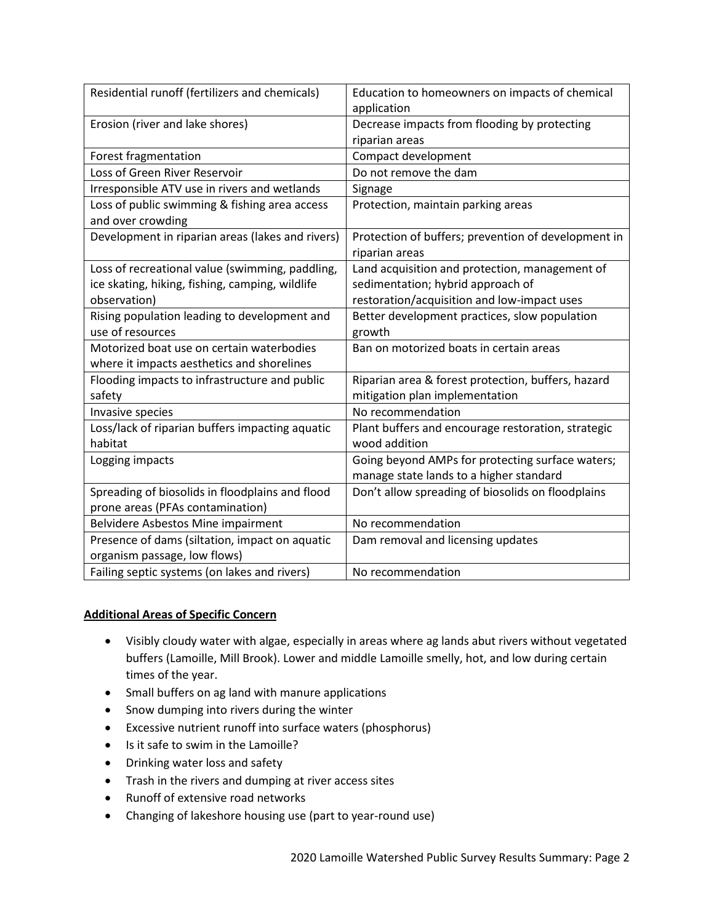| Residential runoff (fertilizers and chemicals)   | Education to homeowners on impacts of chemical<br>application |  |
|--------------------------------------------------|---------------------------------------------------------------|--|
| Erosion (river and lake shores)                  | Decrease impacts from flooding by protecting                  |  |
|                                                  | riparian areas                                                |  |
| Forest fragmentation                             | Compact development                                           |  |
| Loss of Green River Reservoir                    | Do not remove the dam                                         |  |
| Irresponsible ATV use in rivers and wetlands     | Signage                                                       |  |
| Loss of public swimming & fishing area access    | Protection, maintain parking areas                            |  |
| and over crowding                                |                                                               |  |
| Development in riparian areas (lakes and rivers) | Protection of buffers; prevention of development in           |  |
|                                                  | riparian areas                                                |  |
| Loss of recreational value (swimming, paddling,  | Land acquisition and protection, management of                |  |
| ice skating, hiking, fishing, camping, wildlife  | sedimentation; hybrid approach of                             |  |
| observation)                                     | restoration/acquisition and low-impact uses                   |  |
| Rising population leading to development and     | Better development practices, slow population                 |  |
| use of resources                                 | growth                                                        |  |
| Motorized boat use on certain waterbodies        | Ban on motorized boats in certain areas                       |  |
| where it impacts aesthetics and shorelines       |                                                               |  |
| Flooding impacts to infrastructure and public    | Riparian area & forest protection, buffers, hazard            |  |
| safety                                           | mitigation plan implementation                                |  |
| Invasive species                                 | No recommendation                                             |  |
| Loss/lack of riparian buffers impacting aquatic  | Plant buffers and encourage restoration, strategic            |  |
| habitat                                          | wood addition                                                 |  |
| Logging impacts                                  | Going beyond AMPs for protecting surface waters;              |  |
|                                                  | manage state lands to a higher standard                       |  |
| Spreading of biosolids in floodplains and flood  | Don't allow spreading of biosolids on floodplains             |  |
| prone areas (PFAs contamination)                 |                                                               |  |
| Belvidere Asbestos Mine impairment               | No recommendation                                             |  |
| Presence of dams (siltation, impact on aquatic   | Dam removal and licensing updates                             |  |
| organism passage, low flows)                     |                                                               |  |
| Failing septic systems (on lakes and rivers)     | No recommendation                                             |  |

#### **Additional Areas of Specific Concern**

- Visibly cloudy water with algae, especially in areas where ag lands abut rivers without vegetated buffers (Lamoille, Mill Brook). Lower and middle Lamoille smelly, hot, and low during certain times of the year.
- Small buffers on ag land with manure applications
- Snow dumping into rivers during the winter
- Excessive nutrient runoff into surface waters (phosphorus)
- Is it safe to swim in the Lamoille?
- Drinking water loss and safety
- Trash in the rivers and dumping at river access sites
- Runoff of extensive road networks
- Changing of lakeshore housing use (part to year-round use)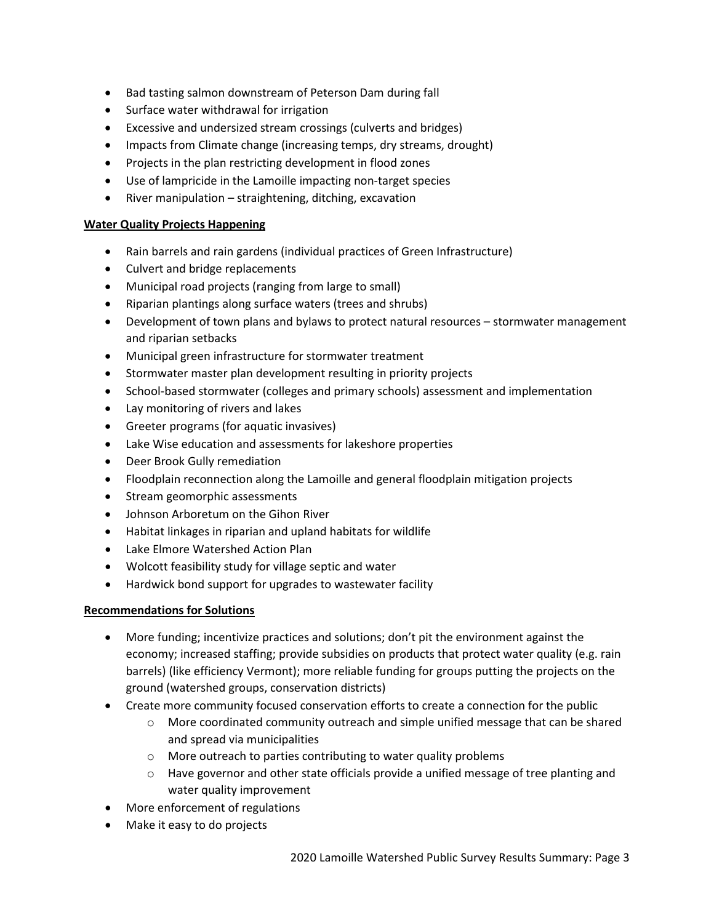- Bad tasting salmon downstream of Peterson Dam during fall
- Surface water withdrawal for irrigation
- Excessive and undersized stream crossings (culverts and bridges)
- Impacts from Climate change (increasing temps, dry streams, drought)
- Projects in the plan restricting development in flood zones
- Use of lampricide in the Lamoille impacting non-target species
- River manipulation straightening, ditching, excavation

#### **Water Quality Projects Happening**

- Rain barrels and rain gardens (individual practices of Green Infrastructure)
- Culvert and bridge replacements
- Municipal road projects (ranging from large to small)
- Riparian plantings along surface waters (trees and shrubs)
- Development of town plans and bylaws to protect natural resources stormwater management and riparian setbacks
- Municipal green infrastructure for stormwater treatment
- Stormwater master plan development resulting in priority projects
- School-based stormwater (colleges and primary schools) assessment and implementation
- Lay monitoring of rivers and lakes
- Greeter programs (for aquatic invasives)
- Lake Wise education and assessments for lakeshore properties
- Deer Brook Gully remediation
- Floodplain reconnection along the Lamoille and general floodplain mitigation projects
- Stream geomorphic assessments
- Johnson Arboretum on the Gihon River
- Habitat linkages in riparian and upland habitats for wildlife
- Lake Elmore Watershed Action Plan
- Wolcott feasibility study for village septic and water
- Hardwick bond support for upgrades to wastewater facility

#### **Recommendations for Solutions**

- More funding; incentivize practices and solutions; don't pit the environment against the economy; increased staffing; provide subsidies on products that protect water quality (e.g. rain barrels) (like efficiency Vermont); more reliable funding for groups putting the projects on the ground (watershed groups, conservation districts)
- Create more community focused conservation efforts to create a connection for the public
	- $\circ$  More coordinated community outreach and simple unified message that can be shared and spread via municipalities
	- o More outreach to parties contributing to water quality problems
	- $\circ$  Have governor and other state officials provide a unified message of tree planting and water quality improvement
- More enforcement of regulations
- Make it easy to do projects